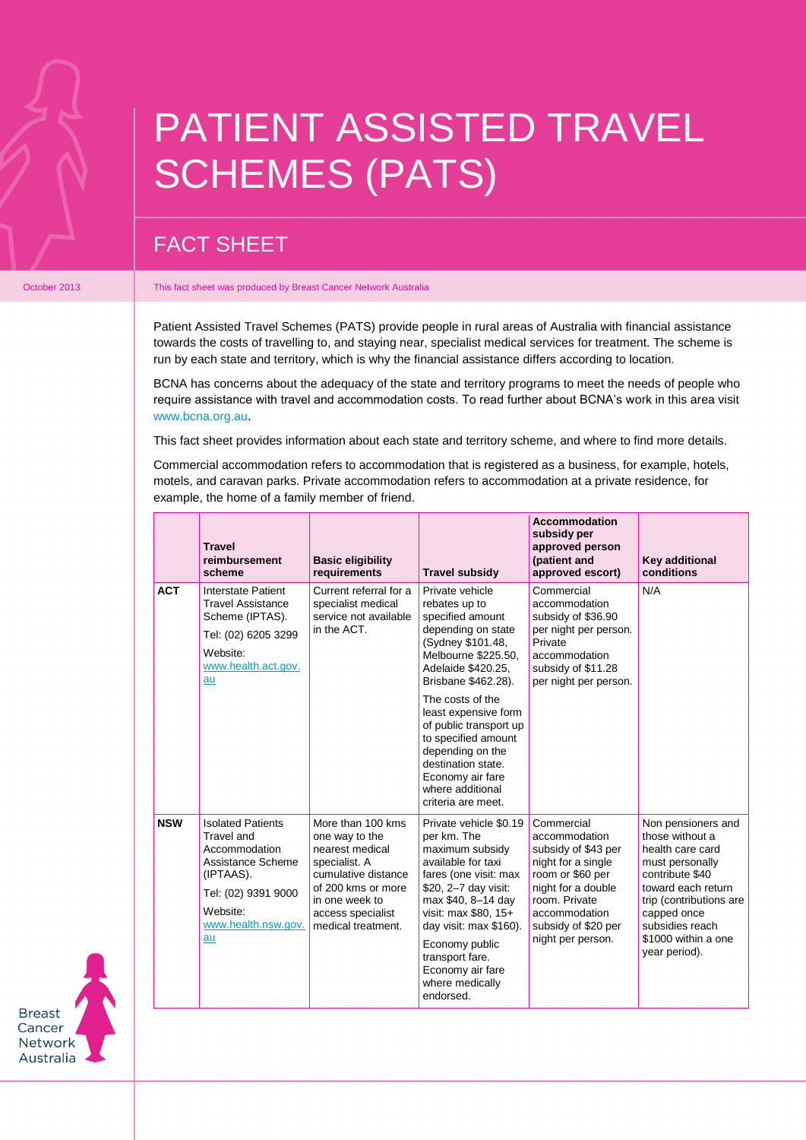## PATIENT ASSISTED TRAVEL SCHEMES (PATS)

## FACT SHEET

## October 2013 **This fact sheet was produced by Breast Cancer Network Australia**

Patient Assisted Travel Schemes (PATS) provide people in rural areas of Australia with financial assistance towards the costs of travelling to, and staying near, specialist medical services for treatment. The scheme is run by each state and territory, which is why the financial assistance differs according to location.

BCNA has concerns about the adequacy of the state and territory programs to meet the needs of people who require assistance with travel and accommodation costs. To read further about BCNA's work in this area visit [www.bcna.org.au.](https://www.bcna.org.au/about-us/advocacy/submissions-and-reviews/patient-assisted-travel-schemes/)

This fact sheet provides information about each state and territory scheme, and where to find more details.

Commercial accommodation refers to accommodation that is registered as a business, for example, hotels, motels, and caravan parks. Private accommodation refers to accommodation at a private residence, for example, the home of a family member of friend.

|  |            | <b>Travel</b><br>reimbursement<br>scheme                                                                                                                  | <b>Basic eligibility</b><br>requirements                                                                                                                                          | <b>Travel subsidy</b>                                                                                                                                                                                                                                                                            | <b>Accommodation</b><br>subsidy per<br>approved person<br>(patient and<br>approved escort)                                                                                                       | Key additional<br>conditions                                                                                                                                                                                               |
|--|------------|-----------------------------------------------------------------------------------------------------------------------------------------------------------|-----------------------------------------------------------------------------------------------------------------------------------------------------------------------------------|--------------------------------------------------------------------------------------------------------------------------------------------------------------------------------------------------------------------------------------------------------------------------------------------------|--------------------------------------------------------------------------------------------------------------------------------------------------------------------------------------------------|----------------------------------------------------------------------------------------------------------------------------------------------------------------------------------------------------------------------------|
|  | <b>ACT</b> | Interstate Patient<br><b>Travel Assistance</b><br>Scheme (IPTAS).<br>Tel: (02) 6205 3299<br>Website:<br>www.health.act.gov.<br>au                         | Current referral for a<br>specialist medical<br>service not available<br>in the ACT.                                                                                              | Private vehicle<br>rebates up to<br>specified amount<br>depending on state<br>(Sydney \$101.48,<br>Melbourne \$225.50,<br>Adelaide \$420.25,<br>Brisbane \$462.28).<br>The costs of the                                                                                                          | Commercial<br>accommodation<br>subsidy of \$36.90<br>per night per person.<br>Private<br>accommodation<br>subsidy of \$11.28<br>per night per person.                                            | N/A                                                                                                                                                                                                                        |
|  |            |                                                                                                                                                           |                                                                                                                                                                                   | least expensive form<br>of public transport up<br>to specified amount<br>depending on the<br>destination state.<br>Economy air fare<br>where additional<br>criteria are meet.                                                                                                                    |                                                                                                                                                                                                  |                                                                                                                                                                                                                            |
|  | <b>NSW</b> | <b>Isolated Patients</b><br>Travel and<br>Accommodation<br>Assistance Scheme<br>(IPTAAS).<br>Tel: (02) 9391 9000<br>Website:<br>www.health.nsw.gov.<br>au | More than 100 kms<br>one way to the<br>nearest medical<br>specialist. A<br>cumulative distance<br>of 200 kms or more<br>in one week to<br>access specialist<br>medical treatment. | Private vehicle \$0.19<br>per km. The<br>maximum subsidy<br>available for taxi<br>fares (one visit: max<br>\$20, 2-7 day visit:<br>max \$40, 8-14 day<br>visit: max \$80, 15+<br>day visit: max \$160).<br>Economy public<br>transport fare.<br>Economy air fare<br>where medically<br>endorsed. | Commercial<br>accommodation<br>subsidy of \$43 per<br>night for a single<br>room or \$60 per<br>night for a double<br>room. Private<br>accommodation<br>subsidy of \$20 per<br>night per person. | Non pensioners and<br>those without a<br>health care card<br>must personally<br>contribute \$40<br>toward each return<br>trip (contributions are<br>capped once<br>subsidies reach<br>\$1000 within a one<br>year period). |

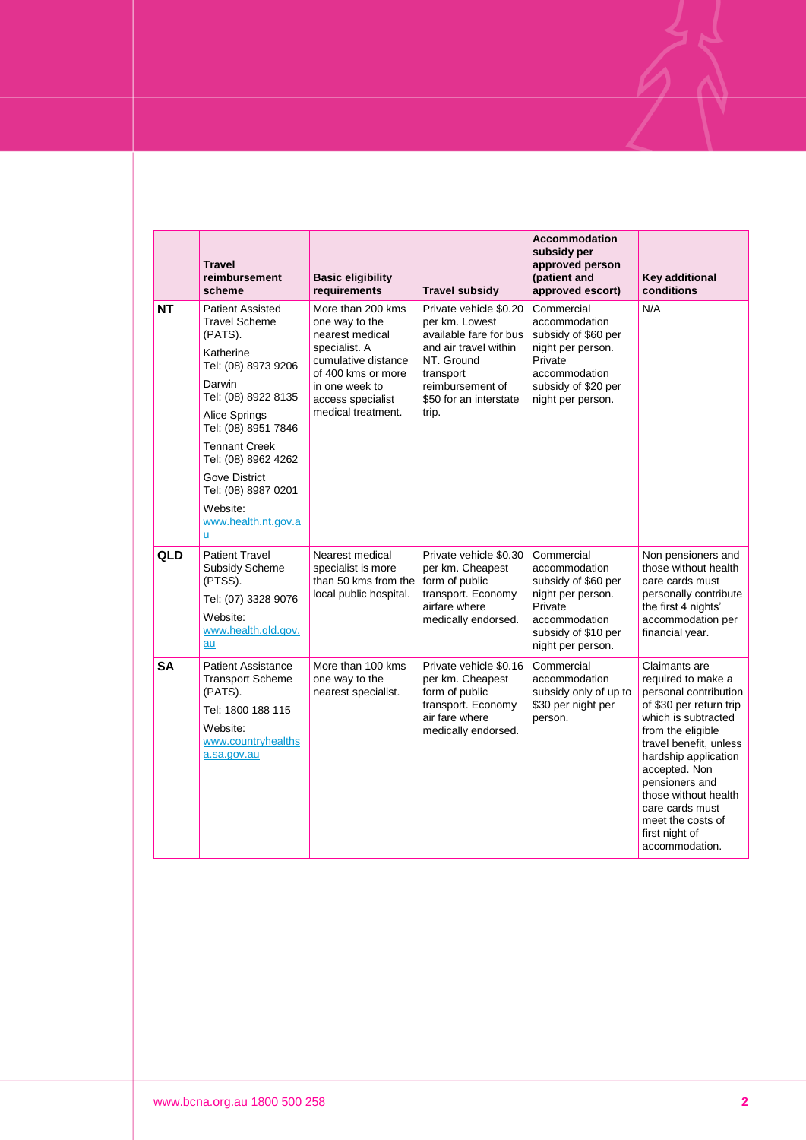|            | <b>Travel</b><br>reimbursement<br>scheme                                                                                                                                                                                                                                                               | <b>Basic eligibility</b><br>requirements                                                                                                                                          | Travel subsidy                                                                                                                                                                | <b>Accommodation</b><br>subsidy per<br>approved person<br>(patient and<br>approved escort)                                                      | Key additional<br>conditions                                                                                                                                                                                                                                                                                                 |
|------------|--------------------------------------------------------------------------------------------------------------------------------------------------------------------------------------------------------------------------------------------------------------------------------------------------------|-----------------------------------------------------------------------------------------------------------------------------------------------------------------------------------|-------------------------------------------------------------------------------------------------------------------------------------------------------------------------------|-------------------------------------------------------------------------------------------------------------------------------------------------|------------------------------------------------------------------------------------------------------------------------------------------------------------------------------------------------------------------------------------------------------------------------------------------------------------------------------|
| <b>NT</b>  | <b>Patient Assisted</b><br><b>Travel Scheme</b><br>(PATS).<br>Katherine<br>Tel: (08) 8973 9206<br>Darwin<br>Tel: (08) 8922 8135<br>Alice Springs<br>Tel: (08) 8951 7846<br><b>Tennant Creek</b><br>Tel: (08) 8962 4262<br>Gove District<br>Tel: (08) 8987 0201<br>Website:<br>www.health.nt.gov.a<br>ū | More than 200 kms<br>one way to the<br>nearest medical<br>specialist. A<br>cumulative distance<br>of 400 kms or more<br>in one week to<br>access specialist<br>medical treatment. | Private vehicle \$0.20<br>per km. Lowest<br>available fare for bus<br>and air travel within<br>NT. Ground<br>transport<br>reimbursement of<br>\$50 for an interstate<br>trip. | Commercial<br>accommodation<br>subsidy of \$60 per<br>night per person.<br>Private<br>accommodation<br>subsidy of \$20 per<br>night per person. | N/A                                                                                                                                                                                                                                                                                                                          |
| <b>QLD</b> | <b>Patient Travel</b><br><b>Subsidy Scheme</b><br>(PTSS).<br>Tel: (07) 3328 9076<br>Website:<br>www.health.gld.gov.<br>au                                                                                                                                                                              | Nearest medical<br>specialist is more<br>than 50 kms from the<br>local public hospital.                                                                                           | Private vehicle \$0.30<br>per km. Cheapest<br>form of public<br>transport. Economy<br>airfare where<br>medically endorsed.                                                    | Commercial<br>accommodation<br>subsidy of \$60 per<br>night per person.<br>Private<br>accommodation<br>subsidy of \$10 per<br>night per person. | Non pensioners and<br>those without health<br>care cards must<br>personally contribute<br>the first 4 nights'<br>accommodation per<br>financial year.                                                                                                                                                                        |
| <b>SA</b>  | <b>Patient Assistance</b><br><b>Transport Scheme</b><br>(PATS).<br>Tel: 1800 188 115<br>Website:<br>www.countryhealths<br>a.sa.gov.au                                                                                                                                                                  | More than 100 kms<br>one way to the<br>nearest specialist.                                                                                                                        | Private vehicle \$0.16<br>per km. Cheapest<br>form of public<br>transport. Economy<br>air fare where<br>medically endorsed.                                                   | Commercial<br>accommodation<br>subsidy only of up to<br>\$30 per night per<br>person.                                                           | Claimants are<br>required to make a<br>personal contribution<br>of \$30 per return trip<br>which is subtracted<br>from the eligible<br>travel benefit, unless<br>hardship application<br>accepted. Non<br>pensioners and<br>those without health<br>care cards must<br>meet the costs of<br>first night of<br>accommodation. |